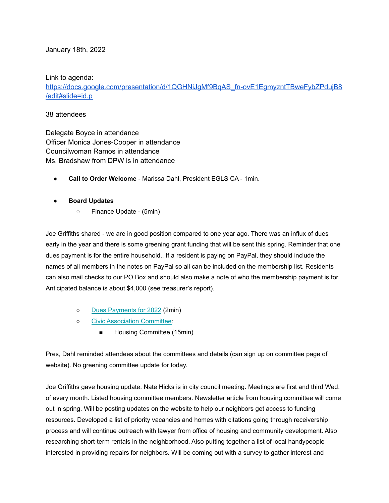January 18th, 2022

Link to agenda:

https://docs.google.com/presentation/d/1QGHNiJgMf9BgAS\_fn-ovE1EgmyzntTBweFybZPdujB8 [/edit#slide=id.p](https://docs.google.com/presentation/d/1QGHNiJgMf9BqAS_fn-ovE1EgmyzntTBweFybZPdujB8/edit#slide=id.p)

## 38 attendees

Delegate Boyce in attendance Officer Monica Jones-Cooper in attendance Councilwoman Ramos in attendance Ms. Bradshaw from DPW is in attendance

● **Call to Order Welcome** - Marissa Dahl, President EGLS CA - 1min.

## **● Board Updates**

○ Finance Update - (5min)

Joe Griffiths shared - we are in good position compared to one year ago. There was an influx of dues early in the year and there is some greening grant funding that will be sent this spring. Reminder that one dues payment is for the entire household.. If a resident is paying on PayPal, they should include the names of all members in the notes on PayPal so all can be included on the membership list. Residents can also mail checks to our PO Box and should also make a note of who the membership payment is for. Anticipated balance is about \$4,000 (see treasurer's report).

- Dues [Payments](https://www.ednorgardenslakeside.org/giving) for 2022 (2min)
- o Civic [Association](https://www.ednorgardenslakeside.org/committees) Committee:
	- Housing Committee (15min)

Pres, Dahl reminded attendees about the committees and details (can sign up on committee page of website). No greening committee update for today.

Joe Griffiths gave housing update. Nate Hicks is in city council meeting. Meetings are first and third Wed. of every month. Listed housing committee members. Newsletter article from housing committee will come out in spring. Will be posting updates on the website to help our neighbors get access to funding resources. Developed a list of priority vacancies and homes with citations going through receivership process and will continue outreach with lawyer from office of housing and community development. Also researching short-term rentals in the neighborhood. Also putting together a list of local handypeople interested in providing repairs for neighbors. Will be coming out with a survey to gather interest and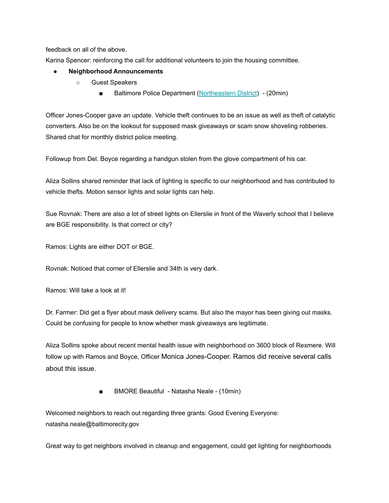feedback on all of the above.

Karina Spencer: reinforcing the call for additional volunteers to join the housing committee.

### **● Neighborhood Announcements**

- Guest Speakers
	- Baltimore Police Department [\(Northeastern](https://www.baltimorepolice.org/find-my-district/northeastern-district) District) (20min)

Officer Jones-Cooper gave an update. Vehicle theft continues to be an issue as well as theft of catalytic converters. Also be on the lookout for supposed mask giveaways or scam snow shoveling robberies. Shared chat for monthly district police meeting.

Followup from Del. Boyce regarding a handgun stolen from the glove compartment of his car.

Aliza Sollins shared reminder that lack of lighting is specific to our neighborhood and has contributed to vehicle thefts. Motion sensor lights and solar lights can help.

Sue Rovnak: There are also a lot of street lights on Ellerslie in front of the Waverly school that I believe are BGE responsibility. Is that correct or city?

Ramos: Lights are either DOT or BGE.

Rovnak: Noticed that corner of Ellerslie and 34th is very dark.

Ramos: Will take a look at it!

Dr. Farmer: Did get a flyer about mask delivery scams. But also the mayor has been giving out masks. Could be confusing for people to know whether mask giveaways are legitimate.

Aliza Sollins spoke about recent mental health issue with neighborhood on 3600 block of Rexmere. Will follow up with Ramos and Boyce, Officer Monica Jones-Cooper. Ramos did receive several calls about this issue.

■ BMORE Beautiful - Natasha Neale - (10min)

Welcomed neighbors to reach out regarding three grants: Good Evening Everyone: natasha.neale@baltimorecity.gov

Great way to get neighbors involved in cleanup and engagement, could get lighting for neighborhoods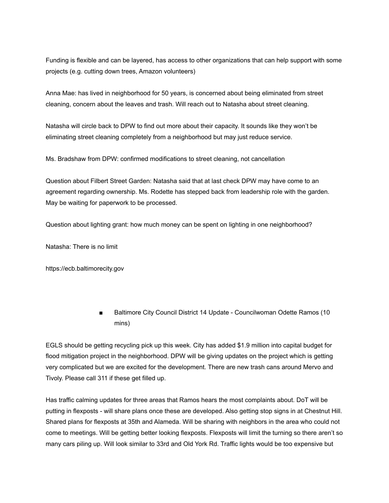Funding is flexible and can be layered, has access to other organizations that can help support with some projects (e.g. cutting down trees, Amazon volunteers)

Anna Mae: has lived in neighborhood for 50 years, is concerned about being eliminated from street cleaning, concern about the leaves and trash. Will reach out to Natasha about street cleaning.

Natasha will circle back to DPW to find out more about their capacity. It sounds like they won't be eliminating street cleaning completely from a neighborhood but may just reduce service.

Ms. Bradshaw from DPW: confirmed modifications to street cleaning, not cancellation

Question about Filbert Street Garden: Natasha said that at last check DPW may have come to an agreement regarding ownership. Ms. Rodette has stepped back from leadership role with the garden. May be waiting for paperwork to be processed.

Question about lighting grant: how much money can be spent on lighting in one neighborhood?

Natasha: There is no limit

https://ecb.baltimorecity.gov

Baltimore City Council District 14 Update - Councilwoman Odette Ramos (10 mins)

EGLS should be getting recycling pick up this week. City has added \$1.9 million into capital budget for flood mitigation project in the neighborhood. DPW will be giving updates on the project which is getting very complicated but we are excited for the development. There are new trash cans around Mervo and Tivoly. Please call 311 if these get filled up.

Has traffic calming updates for three areas that Ramos hears the most complaints about. DoT will be putting in flexposts - will share plans once these are developed. Also getting stop signs in at Chestnut Hill. Shared plans for flexposts at 35th and Alameda. Will be sharing with neighbors in the area who could not come to meetings. Will be getting better looking flexposts. Flexposts will limit the turning so there aren't so many cars piling up. Will look similar to 33rd and Old York Rd. Traffic lights would be too expensive but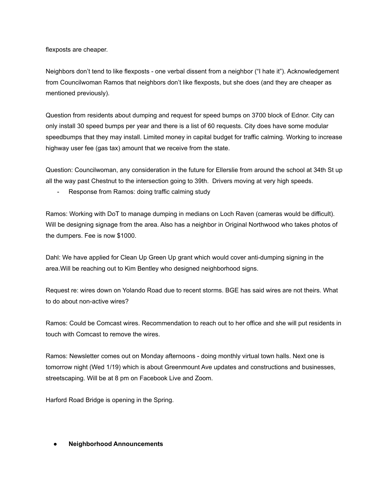flexposts are cheaper.

Neighbors don't tend to like flexposts - one verbal dissent from a neighbor ("I hate it"). Acknowledgement from Councilwoman Ramos that neighbors don't like flexposts, but she does (and they are cheaper as mentioned previously).

Question from residents about dumping and request for speed bumps on 3700 block of Ednor. City can only install 30 speed bumps per year and there is a list of 60 requests. City does have some modular speedbumps that they may install. Limited money in capital budget for traffic calming. Working to increase highway user fee (gas tax) amount that we receive from the state.

Question: Councilwoman, any consideration in the future for Ellerslie from around the school at 34th St up all the way past Chestnut to the intersection going to 39th. Drivers moving at very high speeds.

- Response from Ramos: doing traffic calming study

Ramos: Working with DoT to manage dumping in medians on Loch Raven (cameras would be difficult). Will be designing signage from the area. Also has a neighbor in Original Northwood who takes photos of the dumpers. Fee is now \$1000.

Dahl: We have applied for Clean Up Green Up grant which would cover anti-dumping signing in the area.Will be reaching out to Kim Bentley who designed neighborhood signs.

Request re: wires down on Yolando Road due to recent storms. BGE has said wires are not theirs. What to do about non-active wires?

Ramos: Could be Comcast wires. Recommendation to reach out to her office and she will put residents in touch with Comcast to remove the wires.

Ramos: Newsletter comes out on Monday afternoons - doing monthly virtual town halls. Next one is tomorrow night (Wed 1/19) which is about Greenmount Ave updates and constructions and businesses, streetscaping. Will be at 8 pm on Facebook Live and Zoom.

Harford Road Bridge is opening in the Spring.

#### **● Neighborhood Announcements**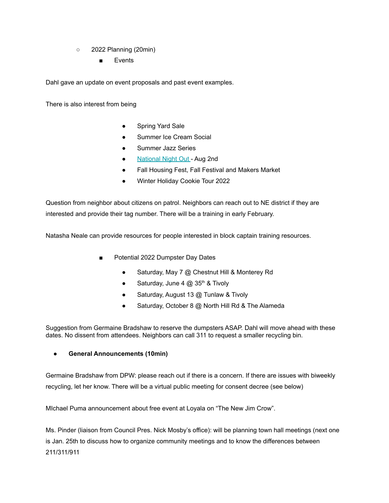- 2022 Planning (20min)
	- **Events**

Dahl gave an update on event proposals and past event examples.

There is also interest from being

- Spring Yard Sale
- Summer Ice Cream Social
- Summer Jazz Series
- [National](https://natw.org/about/) Night Out Aug 2nd
- Fall Housing Fest, Fall Festival and Makers Market
- Winter Holiday Cookie Tour 2022

Question from neighbor about citizens on patrol. Neighbors can reach out to NE district if they are interested and provide their tag number. There will be a training in early February.

Natasha Neale can provide resources for people interested in block captain training resources.

- Potential 2022 Dumpster Day Dates
	- Saturday, May 7 @ Chestnut Hill & Monterey Rd
	- Saturday, June  $4 \text{ } \textcircled{a} 35^{\text{th}}$  & Tivoly
	- Saturday, August 13 @ Tunlaw & Tivoly
	- Saturday, October 8 @ North Hill Rd & The Alameda

Suggestion from Germaine Bradshaw to reserve the dumpsters ASAP. Dahl will move ahead with these dates. No dissent from attendees. Neighbors can call 311 to request a smaller recycling bin.

# **● General Announcements (10min)**

Germaine Bradshaw from DPW: please reach out if there is a concern. If there are issues with biweekly recycling, let her know. There will be a virtual public meeting for consent decree (see below)

MIchael Puma announcement about free event at Loyala on "The New Jim Crow".

Ms. Pinder (liaison from Council Pres. Nick Mosby's office): will be planning town hall meetings (next one is Jan. 25th to discuss how to organize community meetings and to know the differences between 211/311/911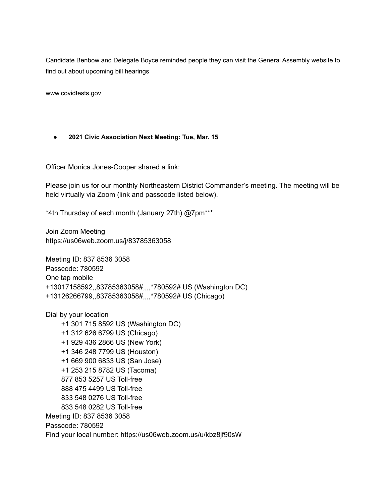Candidate Benbow and Delegate Boyce reminded people they can visit the General Assembly website to find out about upcoming bill hearings

www.covidtests.gov

## **● 2021 Civic Association Next Meeting: Tue, Mar. 15**

Officer Monica Jones-Cooper shared a link:

Please join us for our monthly Northeastern District Commander's meeting. The meeting will be held virtually via Zoom (link and passcode listed below).

\*4th Thursday of each month (January 27th) @7pm\*\*\*

Join Zoom Meeting https://us06web.zoom.us/j/83785363058

Meeting ID: 837 8536 3058 Passcode: 780592 One tap mobile +13017158592,,83785363058#,,,,\*780592# US (Washington DC) +13126266799,,83785363058#,,,,\*780592# US (Chicago)

Dial by your location +1 301 715 8592 US (Washington DC) +1 312 626 6799 US (Chicago) +1 929 436 2866 US (New York) +1 346 248 7799 US (Houston) +1 669 900 6833 US (San Jose) +1 253 215 8782 US (Tacoma) 877 853 5257 US Toll-free 888 475 4499 US Toll-free 833 548 0276 US Toll-free 833 548 0282 US Toll-free Meeting ID: 837 8536 3058 Passcode: 780592 Find your local number: https://us06web.zoom.us/u/kbz8jf90sW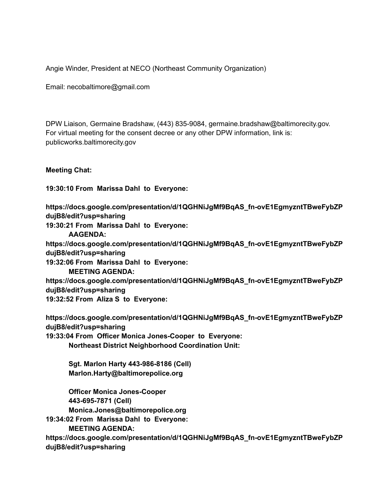Angie Winder, President at NECO (Northeast Community Organization)

Email: necobaltimore@gmail.com

DPW Liaison, Germaine Bradshaw, (443) 835-9084, germaine.bradshaw@baltimorecity.gov. For virtual meeting for the consent decree or any other DPW information, link is: publicworks.baltimorecity.gov

**Meeting Chat:**

**19:30:10 From Marissa Dahl to Everyone:**

**https://docs.google.com/presentation/d/1QGHNiJgMf9BqAS\_fn-ovE1EgmyzntTBweFybZP dujB8/edit?usp=sharing**

**19:30:21 From Marissa Dahl to Everyone:**

**AAGENDA:**

**https://docs.google.com/presentation/d/1QGHNiJgMf9BqAS\_fn-ovE1EgmyzntTBweFybZP dujB8/edit?usp=sharing**

**19:32:06 From Marissa Dahl to Everyone:**

**MEETING AGENDA:**

**https://docs.google.com/presentation/d/1QGHNiJgMf9BqAS\_fn-ovE1EgmyzntTBweFybZP dujB8/edit?usp=sharing**

**19:32:52 From Aliza S to Everyone:**

**https://docs.google.com/presentation/d/1QGHNiJgMf9BqAS\_fn-ovE1EgmyzntTBweFybZP dujB8/edit?usp=sharing**

**19:33:04 From Officer Monica Jones-Cooper to Everyone: Northeast District Neighborhood Coordination Unit:**

> **Sgt. Marlon Harty 443-986-8186 (Cell) Marlon.Harty@baltimorepolice.org**

**Officer Monica Jones-Cooper 443-695-7871 (Cell) Monica.Jones@baltimorepolice.org**

**19:34:02 From Marissa Dahl to Everyone:**

**MEETING AGENDA:**

**https://docs.google.com/presentation/d/1QGHNiJgMf9BqAS\_fn-ovE1EgmyzntTBweFybZP dujB8/edit?usp=sharing**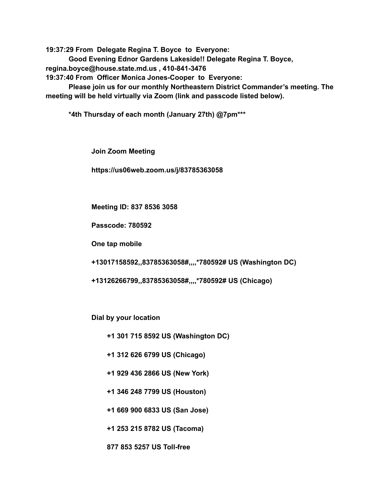**19:37:29 From Delegate Regina T. Boyce to Everyone: Good Evening Ednor Gardens Lakeside!! Delegate Regina T. Boyce, regina.boyce@house.state.md.us , 410-841-3476 19:37:40 From Officer Monica Jones-Cooper to Everyone: Please join us for our monthly Northeastern District Commander's meeting. The meeting will be held virtually via Zoom (link and passcode listed below).**

**\*4th Thursday of each month (January 27th) @7pm\*\*\***

**Join Zoom Meeting**

**https://us06web.zoom.us/j/83785363058**

**Meeting ID: 837 8536 3058**

**Passcode: 780592**

**One tap mobile**

**+13017158592,,83785363058#,,,,\*780592# US (Washington DC)**

**+13126266799,,83785363058#,,,,\*780592# US (Chicago)**

**Dial by your location**

**+1 301 715 8592 US (Washington DC)**

**+1 312 626 6799 US (Chicago)**

**+1 929 436 2866 US (New York)**

**+1 346 248 7799 US (Houston)**

**+1 669 900 6833 US (San Jose)**

**+1 253 215 8782 US (Tacoma)**

**877 853 5257 US Toll-free**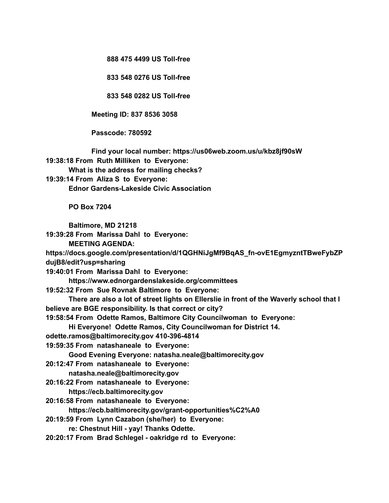**888 475 4499 US Toll-free**

**833 548 0276 US Toll-free**

**833 548 0282 US Toll-free**

**Meeting ID: 837 8536 3058**

**Passcode: 780592**

**Find your local number: https://us06web.zoom.us/u/kbz8jf90sW**

**19:38:18 From Ruth Milliken to Everyone:**

**What is the address for mailing checks?**

**19:39:14 From Aliza S to Everyone:**

**Ednor Gardens-Lakeside Civic Association**

**PO Box 7204**

**Baltimore, MD 21218**

**19:39:28 From Marissa Dahl to Everyone:**

**MEETING AGENDA:**

**https://docs.google.com/presentation/d/1QGHNiJgMf9BqAS\_fn-ovE1EgmyzntTBweFybZP dujB8/edit?usp=sharing**

**19:40:01 From Marissa Dahl to Everyone:**

**https://www.ednorgardenslakeside.org/committees**

**19:52:32 From Sue Rovnak Baltimore to Everyone:**

**There are also a lot of street lights on Ellerslie in front of the Waverly school that I believe are BGE responsibility. Is that correct or city?**

**19:58:54 From Odette Ramos, Baltimore City Councilwoman to Everyone:**

**Hi Everyone! Odette Ramos, City Councilwoman for District 14.**

**odette.ramos@baltimorecity.gov 410-396-4814**

**19:59:35 From natashaneale to Everyone:**

**Good Evening Everyone: natasha.neale@baltimorecity.gov**

**20:12:47 From natashaneale to Everyone:**

**natasha.neale@baltimorecity.gov**

**20:16:22 From natashaneale to Everyone:**

**https://ecb.baltimorecity.gov**

**20:16:58 From natashaneale to Everyone:**

**https://ecb.baltimorecity.gov/grant-opportunities%C2%A0**

**20:19:59 From Lynn Cazabon (she/her) to Everyone:**

**re: Chestnut Hill - yay! Thanks Odette.**

**20:20:17 From Brad Schlegel - oakridge rd to Everyone:**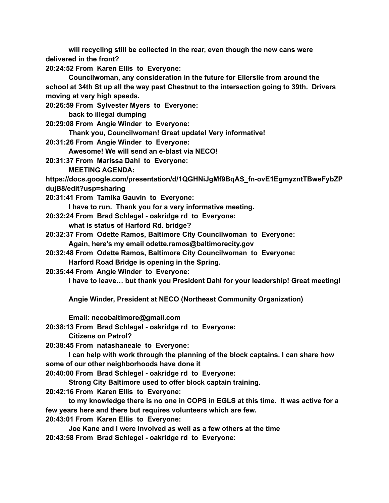**will recycling still be collected in the rear, even though the new cans were delivered in the front?**

**20:24:52 From Karen Ellis to Everyone:**

**Councilwoman, any consideration in the future for Ellerslie from around the school at 34th St up all the way past Chestnut to the intersection going to 39th. Drivers moving at very high speeds.**

**20:26:59 From Sylvester Myers to Everyone:**

**back to illegal dumping**

**20:29:08 From Angie Winder to Everyone:**

**Thank you, Councilwoman! Great update! Very informative!**

**20:31:26 From Angie Winder to Everyone:**

**Awesome! We will send an e-blast via NECO!**

**20:31:37 From Marissa Dahl to Everyone:**

**MEETING AGENDA:**

**https://docs.google.com/presentation/d/1QGHNiJgMf9BqAS\_fn-ovE1EgmyzntTBweFybZP dujB8/edit?usp=sharing**

**20:31:41 From Tamika Gauvin to Everyone:**

**I have to run. Thank you for a very informative meeting.**

- **20:32:24 From Brad Schlegel - oakridge rd to Everyone: what is status of Harford Rd. bridge?**
- **20:32:37 From Odette Ramos, Baltimore City Councilwoman to Everyone: Again, here's my email odette.ramos@baltimorecity.gov**
- **20:32:48 From Odette Ramos, Baltimore City Councilwoman to Everyone:**

**Harford Road Bridge is opening in the Spring.**

**20:35:44 From Angie Winder to Everyone:**

**I have to leave… but thank you President Dahl for your leadership! Great meeting!**

**Angie Winder, President at NECO (Northeast Community Organization)**

**Email: necobaltimore@gmail.com**

**20:38:13 From Brad Schlegel - oakridge rd to Everyone:**

**Citizens on Patrol?**

**20:38:45 From natashaneale to Everyone:**

**I can help with work through the planning of the block captains. I can share how some of our other neighborhoods have done it**

**20:40:00 From Brad Schlegel - oakridge rd to Everyone:**

**Strong City Baltimore used to offer block captain training.**

**20:42:16 From Karen Ellis to Everyone:**

**to my knowledge there is no one in COPS in EGLS at this time. It was active for a few years here and there but requires volunteers which are few.**

**20:43:01 From Karen Ellis to Everyone:**

**Joe Kane and I were involved as well as a few others at the time**

**20:43:58 From Brad Schlegel - oakridge rd to Everyone:**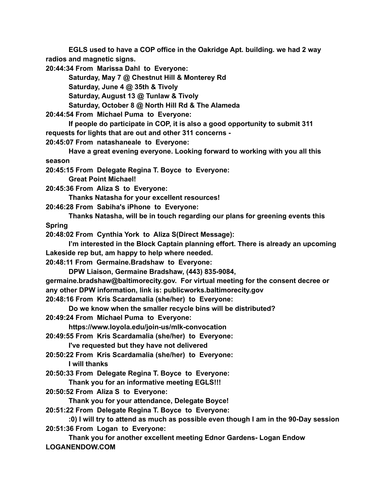**EGLS used to have a COP office in the Oakridge Apt. building. we had 2 way radios and magnetic signs.**

**20:44:34 From Marissa Dahl to Everyone:**

**Saturday, May 7 @ Chestnut Hill & Monterey Rd**

**Saturday, June 4 @ 35th & Tivoly**

**Saturday, August 13 @ Tunlaw & Tivoly**

**Saturday, October 8 @ North Hill Rd & The Alameda**

**20:44:54 From Michael Puma to Everyone:**

**If people do participate in COP, it is also a good opportunity to submit 311 requests for lights that are out and other 311 concerns -**

**20:45:07 From natashaneale to Everyone:**

**Have a great evening everyone. Looking forward to working with you all this season**

**20:45:15 From Delegate Regina T. Boyce to Everyone:**

**Great Point Michael!**

**20:45:36 From Aliza S to Everyone:**

**Thanks Natasha for your excellent resources!**

**20:46:28 From Sabiha's iPhone to Everyone:**

**Thanks Natasha, will be in touch regarding our plans for greening events this Spring**

**20:48:02 From Cynthia York to Aliza S(Direct Message):**

**I'm interested in the Block Captain planning effort. There is already an upcoming Lakeside rep but, am happy to help where needed.**

**20:48:11 From Germaine.Bradshaw to Everyone:**

**DPW Liaison, Germaine Bradshaw, (443) 835-9084,**

**germaine.bradshaw@baltimorecity.gov. For virtual meeting for the consent decree or any other DPW information, link is: publicworks.baltimorecity.gov**

**20:48:16 From Kris Scardamalia (she/her) to Everyone:**

**Do we know when the smaller recycle bins will be distributed?**

**20:49:24 From Michael Puma to Everyone:**

**https://www.loyola.edu/join-us/mlk-convocation**

**20:49:55 From Kris Scardamalia (she/her) to Everyone:**

**I've requested but they have not delivered**

**20:50:22 From Kris Scardamalia (she/her) to Everyone: I will thanks**

**20:50:33 From Delegate Regina T. Boyce to Everyone: Thank you for an informative meeting EGLS!!!**

**20:50:52 From Aliza S to Everyone:**

**Thank you for your attendance, Delegate Boyce!**

**20:51:22 From Delegate Regina T. Boyce to Everyone:**

**:0) I will try to attend as much as possible even though I am in the 90-Day session 20:51:36 From Logan to Everyone:**

**Thank you for another excellent meeting Ednor Gardens- Logan Endow LOGANENDOW.COM**